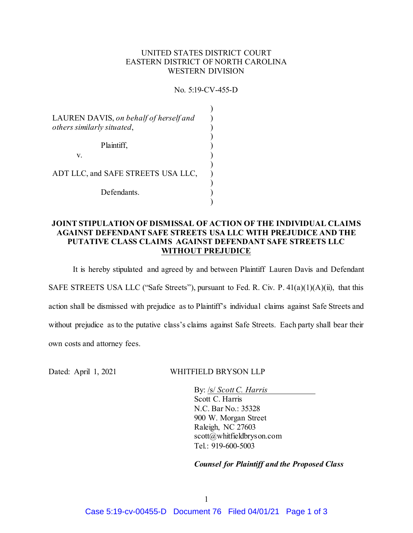## UNITED STATES DISTRICT COURT EASTERN DISTRICT OF NORTH CAROLINA WESTERN DIVISION

No. 5:19-CV-455-D

 $\lambda$ 

| LAUREN DAVIS, on behalf of herself and<br>others similarly situated, |  |
|----------------------------------------------------------------------|--|
| Plaintiff,<br>V.                                                     |  |
| ADT LLC, and SAFE STREETS USA LLC,                                   |  |
| Defendants.                                                          |  |

## **JOINT STIPULATION OF DISMISSAL OF ACTION OF THE INDIVIDUAL CLAIMS AGAINST DEFENDANT SAFE STREETS USA LLC WITH PREJUDICE AND THE PUTATIVE CLASS CLAIMS AGAINST DEFENDANT SAFE STREETS LLC WITHOUT PREJUDICE**

It is hereby stipulated and agreed by and between Plaintiff Lauren Davis and Defendant SAFE STREETS USA LLC ("Safe Streets"), pursuant to Fed. R. Civ. P.  $41(a)(1)(A)(ii)$ , that this action shall be dismissed with prejudice as to Plaintiff's individual claims against Safe Streets and without prejudice as to the putative class's claims against Safe Streets. Each party shall bear their own costs and attorney fees.

Dated: April 1, 2021 WHITFIELD BRYSON LLP

By: /s/ *Scott C. Harris* Scott C. Harris N.C. Bar No.: 35328 900 W. Morgan Street Raleigh, NC 27603 scott@whitfieldbryson.com Tel.: 919-600-5003

*Counsel for Plaintiff and the Proposed Class*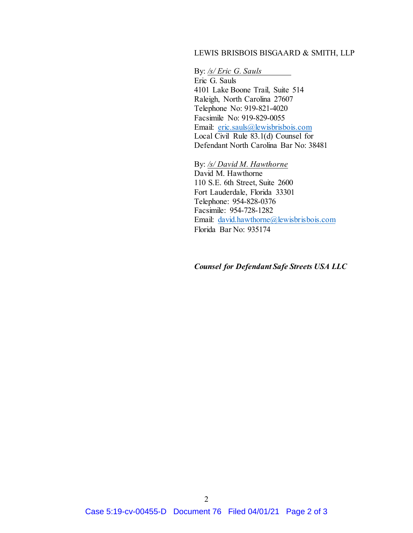## LEWIS BRISBOIS BISGAARD & SMITH, LLP

By: */s/ Eric G. Sauls*

Eric G. Sauls 4101 Lake Boone Trail, Suite 514 Raleigh, North Carolina 27607 Telephone No: 919-821-4020 Facsimile No: 919-829-0055 Email: eric.sauls@lewisbrisbois.com Local Civil Rule 83.1(d) Counsel for Defendant North Carolina Bar No: 38481

By: */s/ David M. Hawthorne* David M. Hawthorne 110 S.E. 6th Street, Suite 2600 Fort Lauderdale, Florida 33301 Telephone: 954-828-0376 Facsimile: 954-728-1282 Email: david.hawthorne@lewisbrisbois.com Florida Bar No: 935174

*Counsel for Defendant Safe Streets USA LLC*